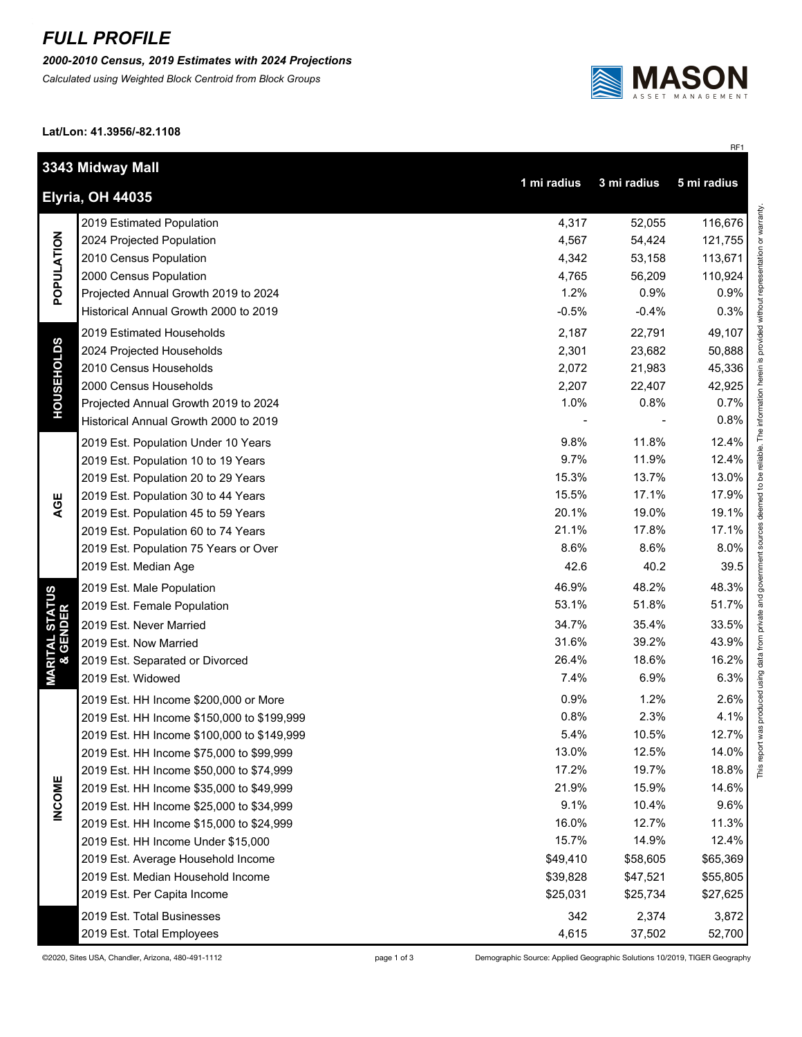## *FULL PROFILE*

*2000-2010 Census, 2019 Estimates with 2024 Projections*

*Calculated using Weighted Block Centroid from Block Groups*



RF1

**Lat/Lon: 41.3956/-82.1108**

|                                        | 3343 Midway Mall<br>1 mi radius<br>3 mi radius<br>5 mi radius |          |          |          |  |  |
|----------------------------------------|---------------------------------------------------------------|----------|----------|----------|--|--|
| <b>Elyria, OH 44035</b>                |                                                               |          |          |          |  |  |
| POPULATION                             | 2019 Estimated Population                                     | 4,317    | 52,055   | 116,676  |  |  |
|                                        | 2024 Projected Population                                     | 4,567    | 54,424   | 121,755  |  |  |
|                                        | 2010 Census Population                                        | 4,342    | 53,158   | 113,671  |  |  |
|                                        | 2000 Census Population                                        | 4,765    | 56,209   | 110,924  |  |  |
|                                        | Projected Annual Growth 2019 to 2024                          | 1.2%     | 0.9%     | 0.9%     |  |  |
|                                        | Historical Annual Growth 2000 to 2019                         | $-0.5%$  | $-0.4%$  | 0.3%     |  |  |
| <b>HOUSEHOLDS</b>                      | 2019 Estimated Households                                     | 2,187    | 22,791   | 49,107   |  |  |
|                                        | 2024 Projected Households                                     | 2,301    | 23,682   | 50,888   |  |  |
|                                        | 2010 Census Households                                        | 2,072    | 21,983   | 45,336   |  |  |
|                                        | 2000 Census Households                                        | 2,207    | 22,407   | 42,925   |  |  |
|                                        | Projected Annual Growth 2019 to 2024                          | 1.0%     | 0.8%     | 0.7%     |  |  |
|                                        | Historical Annual Growth 2000 to 2019                         |          |          | 0.8%     |  |  |
|                                        | 2019 Est. Population Under 10 Years                           | 9.8%     | 11.8%    | 12.4%    |  |  |
|                                        | 2019 Est. Population 10 to 19 Years                           | 9.7%     | 11.9%    | 12.4%    |  |  |
|                                        | 2019 Est. Population 20 to 29 Years                           | 15.3%    | 13.7%    | 13.0%    |  |  |
| AGE                                    | 2019 Est. Population 30 to 44 Years                           | 15.5%    | 17.1%    | 17.9%    |  |  |
|                                        | 2019 Est. Population 45 to 59 Years                           | 20.1%    | 19.0%    | 19.1%    |  |  |
|                                        | 2019 Est. Population 60 to 74 Years                           | 21.1%    | 17.8%    | 17.1%    |  |  |
|                                        | 2019 Est. Population 75 Years or Over                         | 8.6%     | 8.6%     | 8.0%     |  |  |
|                                        | 2019 Est. Median Age                                          | 42.6     | 40.2     | 39.5     |  |  |
|                                        | 2019 Est. Male Population                                     | 46.9%    | 48.2%    | 48.3%    |  |  |
| <b>MARITAL STATUS<br/>&amp; GENDER</b> | 2019 Est. Female Population                                   | 53.1%    | 51.8%    | 51.7%    |  |  |
|                                        | 2019 Est. Never Married                                       | 34.7%    | 35.4%    | 33.5%    |  |  |
|                                        | 2019 Est. Now Married                                         | 31.6%    | 39.2%    | 43.9%    |  |  |
|                                        | 2019 Est. Separated or Divorced                               | 26.4%    | 18.6%    | 16.2%    |  |  |
|                                        | 2019 Est. Widowed                                             | 7.4%     | 6.9%     | 6.3%     |  |  |
|                                        | 2019 Est. HH Income \$200,000 or More                         | 0.9%     | 1.2%     | 2.6%     |  |  |
|                                        | 2019 Est. HH Income \$150,000 to \$199,999                    | 0.8%     | 2.3%     | 4.1%     |  |  |
|                                        | 2019 Est. HH Income \$100,000 to \$149,999                    | 5.4%     | 10.5%    | 12.7%    |  |  |
|                                        | 2019 Est. HH Income \$75,000 to \$99,999                      | 13.0%    | 12.5%    | 14.0%    |  |  |
|                                        | 2019 Est. HH Income \$50,000 to \$74,999                      | 17.2%    | 19.7%    | 18.8%    |  |  |
| <b>INCOME</b>                          | 2019 Est. HH Income \$35,000 to \$49,999                      | 21.9%    | 15.9%    | 14.6%    |  |  |
|                                        | 2019 Est. HH Income \$25,000 to \$34,999                      | 9.1%     | 10.4%    | 9.6%     |  |  |
|                                        | 2019 Est. HH Income \$15,000 to \$24,999                      | 16.0%    | 12.7%    | 11.3%    |  |  |
|                                        | 2019 Est. HH Income Under \$15,000                            | 15.7%    | 14.9%    | 12.4%    |  |  |
|                                        | 2019 Est. Average Household Income                            | \$49,410 | \$58,605 | \$65,369 |  |  |
|                                        | 2019 Est. Median Household Income                             | \$39,828 | \$47,521 | \$55,805 |  |  |
|                                        | 2019 Est. Per Capita Income                                   | \$25,031 | \$25,734 | \$27,625 |  |  |
|                                        | 2019 Est. Total Businesses                                    | 342      | 2,374    | 3,872    |  |  |
|                                        | 2019 Est. Total Employees                                     | 4,615    | 37,502   | 52,700   |  |  |

©2020, Sites USA, Chandler, Arizona, 480-491-1112 page 1 of 3 Demographic Source: Applied Geographic Solutions 10/2019, TIGER Geography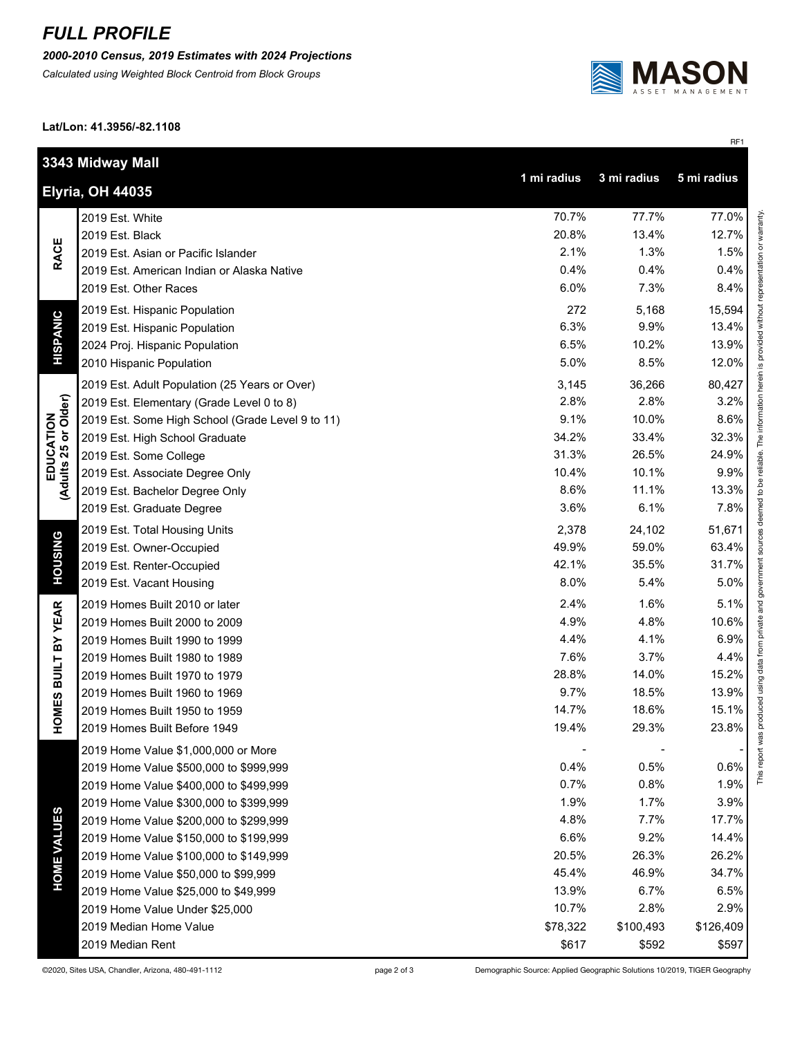## *FULL PROFILE*

*2000-2010 Census, 2019 Estimates with 2024 Projections*

*Calculated using Weighted Block Centroid from Block Groups*



**Lat/Lon: 41.3956/-82.1108**

|                                   |                                                                      |          |           | RF1       |  |
|-----------------------------------|----------------------------------------------------------------------|----------|-----------|-----------|--|
|                                   | 3343 Midway Mall                                                     |          |           |           |  |
|                                   | 1 mi radius<br>3 mi radius<br>5 mi radius<br><b>Elyria, OH 44035</b> |          |           |           |  |
|                                   |                                                                      |          |           |           |  |
| <b>RACE</b>                       | 2019 Est. White                                                      | 70.7%    | 77.7%     | 77.0%     |  |
|                                   | 2019 Est. Black                                                      | 20.8%    | 13.4%     | 12.7%     |  |
|                                   | 2019 Est. Asian or Pacific Islander                                  | 2.1%     | 1.3%      | 1.5%      |  |
|                                   | 2019 Est. American Indian or Alaska Native                           | 0.4%     | 0.4%      | 0.4%      |  |
|                                   | 2019 Est. Other Races                                                | 6.0%     | 7.3%      | 8.4%      |  |
|                                   | 2019 Est. Hispanic Population                                        | 272      | 5,168     | 15,594    |  |
|                                   | 2019 Est. Hispanic Population                                        | 6.3%     | 9.9%      | 13.4%     |  |
| <b>HISPANIC</b>                   | 2024 Proj. Hispanic Population                                       | 6.5%     | 10.2%     | 13.9%     |  |
|                                   | 2010 Hispanic Population                                             | 5.0%     | 8.5%      | 12.0%     |  |
|                                   | 2019 Est. Adult Population (25 Years or Over)                        | 3,145    | 36,266    | 80,427    |  |
| EDUCATION<br>(Adults 25 or Older) | 2019 Est. Elementary (Grade Level 0 to 8)                            | 2.8%     | 2.8%      | 3.2%      |  |
|                                   | 2019 Est. Some High School (Grade Level 9 to 11)                     | 9.1%     | 10.0%     | 8.6%      |  |
|                                   | 2019 Est. High School Graduate                                       | 34.2%    | 33.4%     | 32.3%     |  |
|                                   | 2019 Est. Some College                                               | 31.3%    | 26.5%     | 24.9%     |  |
|                                   | 2019 Est. Associate Degree Only                                      | 10.4%    | 10.1%     | 9.9%      |  |
|                                   | 2019 Est. Bachelor Degree Only                                       | 8.6%     | 11.1%     | 13.3%     |  |
|                                   | 2019 Est. Graduate Degree                                            | 3.6%     | 6.1%      | 7.8%      |  |
|                                   | 2019 Est. Total Housing Units                                        | 2,378    | 24,102    | 51,671    |  |
| <b>HOUSING</b>                    | 2019 Est. Owner-Occupied                                             | 49.9%    | 59.0%     | 63.4%     |  |
|                                   | 2019 Est. Renter-Occupied                                            | 42.1%    | 35.5%     | 31.7%     |  |
|                                   | 2019 Est. Vacant Housing                                             | 8.0%     | 5.4%      | 5.0%      |  |
|                                   | 2019 Homes Built 2010 or later                                       | 2.4%     | 1.6%      | 5.1%      |  |
| BY YEAR                           | 2019 Homes Built 2000 to 2009                                        | 4.9%     | 4.8%      | 10.6%     |  |
|                                   | 2019 Homes Built 1990 to 1999                                        | 4.4%     | 4.1%      | 6.9%      |  |
|                                   | 2019 Homes Built 1980 to 1989                                        | 7.6%     | 3.7%      | 4.4%      |  |
| OMES BUILT                        | 2019 Homes Built 1970 to 1979                                        | 28.8%    | 14.0%     | 15.2%     |  |
|                                   | 2019 Homes Built 1960 to 1969                                        | 9.7%     | 18.5%     | 13.9%     |  |
|                                   | 2019 Homes Built 1950 to 1959                                        | 14.7%    | 18.6%     | 15.1%     |  |
| Ĭ                                 | 2019 Homes Built Before 1949                                         | 19.4%    | 29.3%     | 23.8%     |  |
|                                   | 2019 Home Value \$1,000,000 or More                                  |          |           |           |  |
|                                   | 2019 Home Value \$500,000 to \$999,999                               | 0.4%     | 0.5%      | 0.6%      |  |
|                                   | 2019 Home Value \$400,000 to \$499,999                               | 0.7%     | 0.8%      | 1.9%      |  |
|                                   | 2019 Home Value \$300,000 to \$399,999                               | 1.9%     | 1.7%      | 3.9%      |  |
|                                   | 2019 Home Value \$200,000 to \$299,999                               | 4.8%     | 7.7%      | 17.7%     |  |
| <b>HOME VALUES</b>                | 2019 Home Value \$150,000 to \$199,999                               | 6.6%     | 9.2%      | 14.4%     |  |
|                                   | 2019 Home Value \$100,000 to \$149,999                               | 20.5%    | 26.3%     | 26.2%     |  |
|                                   | 2019 Home Value \$50,000 to \$99,999                                 | 45.4%    | 46.9%     | 34.7%     |  |
|                                   | 2019 Home Value \$25,000 to \$49,999                                 | 13.9%    | 6.7%      | 6.5%      |  |
|                                   | 2019 Home Value Under \$25,000                                       | 10.7%    | 2.8%      | 2.9%      |  |
|                                   | 2019 Median Home Value                                               | \$78,322 | \$100,493 | \$126,409 |  |
|                                   | 2019 Median Rent                                                     | \$617    | \$592     | \$597     |  |

©2020, Sites USA, Chandler, Arizona, 480-491-1112 page 2 of 3 Demographic Source: Applied Geographic Solutions 10/2019, TIGER Geography